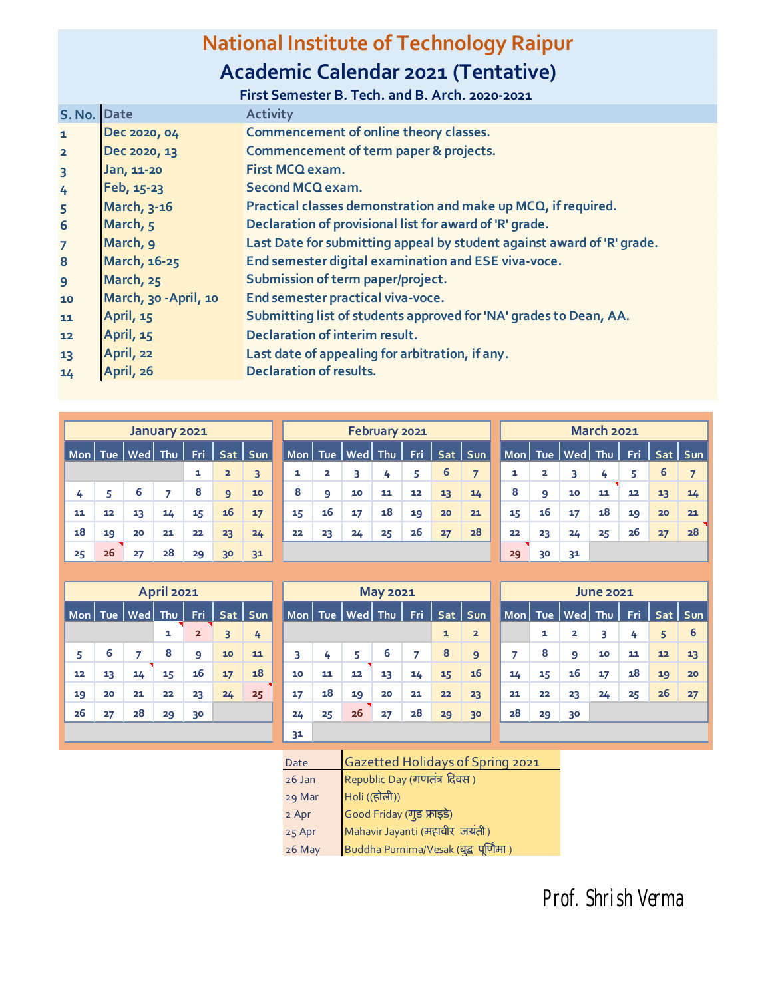## **National Institute of Technology Raipur**

## **Academic Calendar 2021 (Tentative)**

|                 |                       | First Semester B. Tech. and B. Arch. 2020-2021                         |
|-----------------|-----------------------|------------------------------------------------------------------------|
| S. No. Date     |                       | <b>Activity</b>                                                        |
| $\mathbf{1}$    | Dec 2020, 04          | Commencement of online theory classes.                                 |
| $\overline{2}$  | Dec 2020, 13          | Commencement of term paper & projects.                                 |
| $\overline{3}$  | Jan, 11-20            | First MCQ exam.                                                        |
| 4               | Feb, 15-23            | Second MCQ exam.                                                       |
| 5               | March, 3-16           | Practical classes demonstration and make up MCQ, if required.          |
| $6\phantom{1}6$ | March, 5              | Declaration of provisional list for award of 'R' grade.                |
| $\overline{7}$  | March, 9              | Last Date for submitting appeal by student against award of 'R' grade. |
| $\bf{8}$        | March, 16-25          | End semester digital examination and ESE viva-voce.                    |
| 9               | March, 25             | Submission of term paper/project.                                      |
| 10              | March, 30 - April, 10 | End semester practical viva-voce.                                      |
| 11              | April, 15             | Submitting list of students approved for 'NA' grades to Dean, AA.      |
| 12              | April, 15             | Declaration of interim result.                                         |
| 13              | April, 22             | Last date of appealing for arbitration, if any.                        |
| 14              | April, 26             | <b>Declaration of results.</b>                                         |

|           |    |          | January 2021 |            |                         |                |    |                         |         | February 2021 |     |    |                |    |    |                       | <b>March 2021</b> |      |    |           |
|-----------|----|----------|--------------|------------|-------------------------|----------------|----|-------------------------|---------|---------------|-----|----|----------------|----|----|-----------------------|-------------------|------|----|-----------|
| Mon   Tue |    | Wed  Thu |              | <b>Fri</b> |                         | Sat   Sun      |    | Mon   Tue               | Wed Thu |               | Fri |    | Sat   Sun      |    |    | Mon   Tue   Wed   Thu |                   | Fri. |    | Sat   Sun |
|           |    |          |              | 1          | $\overline{\mathbf{z}}$ | 3              | 1  | $\overline{\mathbf{2}}$ | 3       | 4             | 5   | 6  | $\overline{ }$ | 1  | 2  |                       | 4                 | 5    | ь  |           |
| 4         |    | 6        |              | 8          | 9                       | 10             | 8  | 9                       | 10      | 11            | 12  | 13 | 14             | 8  | 9  | 10                    | 11                | 12   | 13 | 14        |
| 11        | 12 | 13       | 14           | 15         | 16                      | 17             | 15 | 16                      | 17      | 18            | 19  | 20 | 21             | 15 | 16 | 17                    | 18                | 19   | 20 | 21        |
| 18        | 19 | 20       | 21           | 22         | 23                      | 24             | 22 | 23                      | 24      | 25            | 26  | 27 | 28             | 22 | 23 | 24                    | 25                | 26   | 27 | 28        |
| 25        | 26 | 27       | 28           | 29         | 30                      | 3 <sup>1</sup> |    |                         |         |               |     |    |                | 29 | 30 | 3 <sup>1</sup>        |                   |      |    |           |

|    |                                        |                       | <b>April 2021</b> |                |    |           |     |    |                               | <b>May 2021</b> |    |    |                |    |                                                                                            |    | <b>June 2021</b> |     |         |    |
|----|----------------------------------------|-----------------------|-------------------|----------------|----|-----------|-----|----|-------------------------------|-----------------|----|----|----------------|----|--------------------------------------------------------------------------------------------|----|------------------|-----|---------|----|
|    |                                        | Mon   Tue   Wed   Thu |                   | Fri.           |    | Sat   Sun |     |    | Mon   Tue   Wed   Thu $ $ Fri |                 |    |    | Sat   Sun      |    | $\blacksquare$ Mon $\blacksquare$ Tue $\blacksquare$ Wed $\blacksquare$ Thu $\blacksquare$ |    |                  | Fri | Sat Sun |    |
|    |                                        |                       | 1                 | $\overline{2}$ |    | 4         |     |    |                               |                 |    | 1  | $\overline{2}$ |    | 1                                                                                          | 2  | 3                | 4   | 5       | 6  |
| 5  | 6                                      |                       | 8                 | 9              | 10 | 11        | 3   | 4  | 5                             | 6               |    | 8  | 9              |    | 8                                                                                          | 9  | 10               | 11  | 12      | 13 |
| 12 | 13                                     | 14                    | 15                | 16             | 17 | 18        | 10  | 11 | 12                            | 13              | 14 | 15 | 16             | 14 | 15                                                                                         | 16 | 17               | 18  | 19      | 20 |
| 19 | 20                                     | 21                    | 22                | 23             | 24 | 25        | 17  | 18 | 19                            | 20              | 21 | 22 | 23             | 21 | 22                                                                                         | 23 | 24               | 25  | 26      | 27 |
| 26 | 26<br>28<br>27<br>29<br>24<br>25<br>30 |                       |                   |                |    |           |     |    |                               |                 |    | 29 | 30             | 28 | 29                                                                                         | 30 |                  |     |         |    |
|    |                                        |                       |                   |                |    |           | --- |    |                               |                 |    |    |                |    |                                                                                            |    |                  |     |         |    |

|    | <b>April 2021</b> |                |    |           |    |    |                       | <b>May 2021</b> |       |              |                |    |    |                           | <b>June 2021</b> |                         |
|----|-------------------|----------------|----|-----------|----|----|-----------------------|-----------------|-------|--------------|----------------|----|----|---------------------------|------------------|-------------------------|
| ed | Thu               | Fri.           |    | Sat   Sun |    |    | Mon   Tue   Wed   Thu |                 | - Fri |              | Sat   Sun      |    |    | Mon   Tue   Wed   Thu   F |                  |                         |
|    | 1                 | $\overline{2}$ | 3  | 4         |    |    |                       |                 |       | $\mathbf{1}$ | $\overline{2}$ |    | 1  | $\overline{2}$            | 3                |                         |
|    | 8                 | 9              | 10 | 11        | 3  | 4  | 5                     | 6               | 7     | 8            | $\overline{9}$ | 7  | 8  | 9                         | 10               | 1                       |
| 4  | 15                | 16             | 17 | 18        | 10 | 11 | 12                    | 13              | 14    | 15           | 16             | 14 | 15 | 16                        | 17               | 1                       |
| 1  | 22                | 23             | 24 | 25        | 17 | 18 | 19                    | 20              | 21    | 22           | 23             | 21 | 22 | 23                        | 24               | $\overline{\mathbf{2}}$ |
| 8  | 29                | 30             |    |           | 24 | 25 | 26                    | 27              | 28    | 29           | 30             | 28 | 29 | 30                        |                  |                         |
|    |                   |                |    |           | 31 |    |                       |                 |       |              |                |    |    |                           |                  |                         |

| 2021 |                         |     |            |    |    |                     | <b>May 2021</b> |     |              |                |    |    |                         | <b>June 2021</b> |            |            |     |
|------|-------------------------|-----|------------|----|----|---------------------|-----------------|-----|--------------|----------------|----|----|-------------------------|------------------|------------|------------|-----|
| hυ   | Fri                     | Sat | <b>Sun</b> |    |    | Mon   Tue Wed   Thu |                 | Fri |              | Sat   Sun      |    |    | Mon Tue Wed Thu         |                  | <b>Fri</b> | <b>Sat</b> | Sum |
| 1    | $\overline{\mathbf{2}}$ | 3   | 4          |    |    |                     |                 |     | $\mathbf{1}$ | $\overline{2}$ |    | 1  | $\overline{\mathbf{z}}$ | 3                | 4          | 5          | 6   |
| 8    | 9                       | 10  | 11         | 3  | 4  | 5                   | 6               | 7   | 8            | 9              | 7  | 8  | 9                       | 10               | 11         | 12         | 13  |
| 15   | 16                      | 17  | 18         | 10 | 11 | 12                  | 13              | 14  | 15           | 16             | 14 | 15 | 16                      | 17               | 18         | 19         | 20  |
| 22   | 23                      | 24  | 25         | 17 | 18 | 19                  | 20              | 21  | 22           | 23             | 21 | 22 | 23                      | 24               | 25         | 26         | 27  |
| 29   | 30                      |     |            | 24 | 25 | 26                  | 27              | 28  | 29           | 30             | 28 | 29 | 30                      |                  |            |            |     |
|      |                         |     |            |    |    |                     |                 |     |              |                |    |    |                         |                  |            |            |     |

| Date     | Gazetted Holidays of Spring 2021                            |
|----------|-------------------------------------------------------------|
| $26$ Jan | Republic Day (गणतंत्र दिवस)                                 |
| 29 Mar   | Holi ((होली))                                               |
| 2 Apr    | Good Friday (गुड फ्राइडे)<br>Mahavir Jayanti (महावीर जयंती) |
| 25 Apr   |                                                             |
| 26 May   | Buddha Purnima/Vesak (बुद्ध पूर्णिमा)                       |

Prof. Shrish Verma